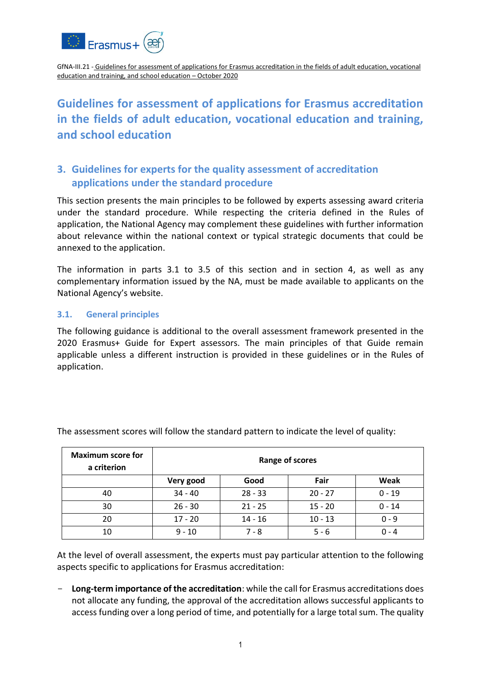

# **Guidelines for assessment of applications for Erasmus accreditation in the fields of adult education, vocational education and training, and school education**

# **3. Guidelines for experts for the quality assessment of accreditation applications under the standard procedure**

This section presents the main principles to be followed by experts assessing award criteria under the standard procedure. While respecting the criteria defined in the Rules of application, the National Agency may complement these guidelines with further information about relevance within the national context or typical strategic documents that could be annexed to the application.

The information in parts 3.1 to 3.5 of this section and in section 4, as well as any complementary information issued by the NA, must be made available to applicants on the National Agency's website.

#### **3.1. General principles**

The following guidance is additional to the overall assessment framework presented in the 2020 Erasmus+ Guide for Expert assessors. The main principles of that Guide remain applicable unless a different instruction is provided in these guidelines or in the Rules of application.

| <b>Maximum score for</b><br>a criterion | Range of scores |           |           |          |
|-----------------------------------------|-----------------|-----------|-----------|----------|
|                                         | Very good       | Good      | Fair      | Weak     |
| 40                                      | $34 - 40$       | $28 - 33$ | $20 - 27$ | $0 - 19$ |
| 30                                      | $26 - 30$       | $21 - 25$ | $15 - 20$ | $0 - 14$ |
| 20                                      | $17 - 20$       | $14 - 16$ | $10 - 13$ | $0 - 9$  |
| 10                                      | $9 - 10$        | $7 - 8$   | $5 - 6$   | $0 - 4$  |

The assessment scores will follow the standard pattern to indicate the level of quality:

At the level of overall assessment, the experts must pay particular attention to the following aspects specific to applications for Erasmus accreditation:

- **Long-term importance of the accreditation**: while the call for Erasmus accreditations does not allocate any funding, the approval of the accreditation allows successful applicants to access funding over a long period of time, and potentially for a large total sum. The quality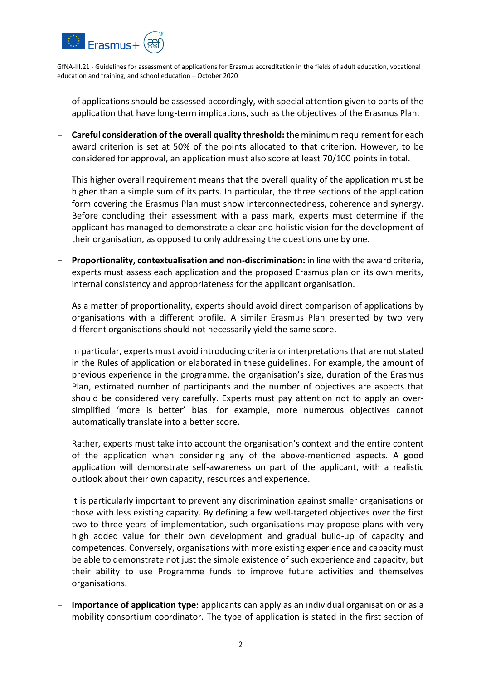

of applications should be assessed accordingly, with special attention given to parts of the application that have long-term implications, such as the objectives of the Erasmus Plan.

- **Careful consideration of the overall quality threshold:** the minimum requirement for each award criterion is set at 50% of the points allocated to that criterion. However, to be considered for approval, an application must also score at least 70/100 points in total.

This higher overall requirement means that the overall quality of the application must be higher than a simple sum of its parts. In particular, the three sections of the application form covering the Erasmus Plan must show interconnectedness, coherence and synergy. Before concluding their assessment with a pass mark, experts must determine if the applicant has managed to demonstrate a clear and holistic vision for the development of their organisation, as opposed to only addressing the questions one by one.

- **Proportionality, contextualisation and non-discrimination:** in line with the award criteria, experts must assess each application and the proposed Erasmus plan on its own merits, internal consistency and appropriateness for the applicant organisation.

As a matter of proportionality, experts should avoid direct comparison of applications by organisations with a different profile. A similar Erasmus Plan presented by two very different organisations should not necessarily yield the same score.

In particular, experts must avoid introducing criteria or interpretations that are not stated in the Rules of application or elaborated in these guidelines. For example, the amount of previous experience in the programme, the organisation's size, duration of the Erasmus Plan, estimated number of participants and the number of objectives are aspects that should be considered very carefully. Experts must pay attention not to apply an oversimplified 'more is better' bias: for example, more numerous objectives cannot automatically translate into a better score.

Rather, experts must take into account the organisation's context and the entire content of the application when considering any of the above-mentioned aspects. A good application will demonstrate self-awareness on part of the applicant, with a realistic outlook about their own capacity, resources and experience.

It is particularly important to prevent any discrimination against smaller organisations or those with less existing capacity. By defining a few well-targeted objectives over the first two to three years of implementation, such organisations may propose plans with very high added value for their own development and gradual build-up of capacity and competences. Conversely, organisations with more existing experience and capacity must be able to demonstrate not just the simple existence of such experience and capacity, but their ability to use Programme funds to improve future activities and themselves organisations.

- **Importance of application type:** applicants can apply as an individual organisation or as a mobility consortium coordinator. The type of application is stated in the first section of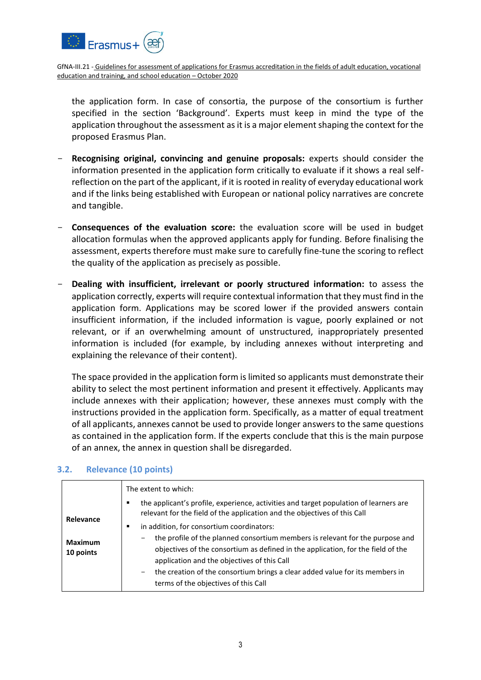

the application form. In case of consortia, the purpose of the consortium is further specified in the section 'Background'. Experts must keep in mind the type of the application throughout the assessment as it is a major element shaping the context for the proposed Erasmus Plan.

- Recognising original, convincing and genuine proposals: experts should consider the information presented in the application form critically to evaluate if it shows a real selfreflection on the part of the applicant, if it is rooted in reality of everyday educational work and if the links being established with European or national policy narratives are concrete and tangible.
- **Consequences of the evaluation score:** the evaluation score will be used in budget allocation formulas when the approved applicants apply for funding. Before finalising the assessment, experts therefore must make sure to carefully fine-tune the scoring to reflect the quality of the application as precisely as possible.
- **Dealing with insufficient, irrelevant or poorly structured information:** to assess the application correctly, experts will require contextual information that they must find in the application form. Applications may be scored lower if the provided answers contain insufficient information, if the included information is vague, poorly explained or not relevant, or if an overwhelming amount of unstructured, inappropriately presented information is included (for example, by including annexes without interpreting and explaining the relevance of their content).

The space provided in the application form is limited so applicants must demonstrate their ability to select the most pertinent information and present it effectively. Applicants may include annexes with their application; however, these annexes must comply with the instructions provided in the application form. Specifically, as a matter of equal treatment of all applicants, annexes cannot be used to provide longer answers to the same questions as contained in the application form. If the experts conclude that this is the main purpose of an annex, the annex in question shall be disregarded.

|                                          | The extent to which:<br>the applicant's profile, experience, activities and target population of learners are<br>٠<br>relevant for the field of the application and the objectives of this Call                                                                                                                                                                                                                             |
|------------------------------------------|-----------------------------------------------------------------------------------------------------------------------------------------------------------------------------------------------------------------------------------------------------------------------------------------------------------------------------------------------------------------------------------------------------------------------------|
| Relevance<br><b>Maximum</b><br>10 points | in addition, for consortium coordinators:<br>٠<br>the profile of the planned consortium members is relevant for the purpose and<br>-<br>objectives of the consortium as defined in the application, for the field of the<br>application and the objectives of this Call<br>the creation of the consortium brings a clear added value for its members in<br>$\overline{\phantom{a}}$<br>terms of the objectives of this Call |

## **3.2. Relevance (10 points)**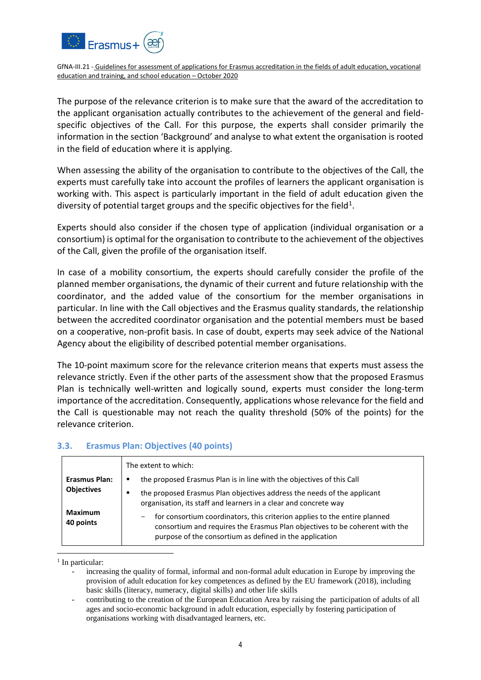

The purpose of the relevance criterion is to make sure that the award of the accreditation to the applicant organisation actually contributes to the achievement of the general and fieldspecific objectives of the Call. For this purpose, the experts shall consider primarily the information in the section 'Background' and analyse to what extent the organisation is rooted in the field of education where it is applying.

When assessing the ability of the organisation to contribute to the objectives of the Call, the experts must carefully take into account the profiles of learners the applicant organisation is working with. This aspect is particularly important in the field of adult education given the diversity of potential target groups and the specific objectives for the field<sup>1</sup>.

Experts should also consider if the chosen type of application (individual organisation or a consortium) is optimal for the organisation to contribute to the achievement of the objectives of the Call, given the profile of the organisation itself.

In case of a mobility consortium, the experts should carefully consider the profile of the planned member organisations, the dynamic of their current and future relationship with the coordinator, and the added value of the consortium for the member organisations in particular. In line with the Call objectives and the Erasmus quality standards, the relationship between the accredited coordinator organisation and the potential members must be based on a cooperative, non-profit basis. In case of doubt, experts may seek advice of the National Agency about the eligibility of described potential member organisations.

The 10-point maximum score for the relevance criterion means that experts must assess the relevance strictly. Even if the other parts of the assessment show that the proposed Erasmus Plan is technically well-written and logically sound, experts must consider the long-term importance of the accreditation. Consequently, applications whose relevance for the field and the Call is questionable may not reach the quality threshold (50% of the points) for the relevance criterion.

#### **3.3. Erasmus Plan: Objectives (40 points)**

|                                                                          | The extent to which:                                                                                                                                                                                                     |
|--------------------------------------------------------------------------|--------------------------------------------------------------------------------------------------------------------------------------------------------------------------------------------------------------------------|
| <b>Erasmus Plan:</b><br><b>Objectives</b><br><b>Maximum</b><br>40 points | the proposed Erasmus Plan is in line with the objectives of this Call<br>٠                                                                                                                                               |
|                                                                          | the proposed Erasmus Plan objectives address the needs of the applicant<br>п<br>organisation, its staff and learners in a clear and concrete way                                                                         |
|                                                                          | for consortium coordinators, this criterion applies to the entire planned<br>-<br>consortium and requires the Erasmus Plan objectives to be coherent with the<br>purpose of the consortium as defined in the application |

<sup>&</sup>lt;sup>1</sup> In particular:

1

increasing the quality of formal, informal and non-formal adult education in Europe by improving the provision of adult education for key competences as defined by the EU framework (2018), including basic skills (literacy, numeracy, digital skills) and other life skills

<sup>-</sup> contributing to the creation of the European Education Area by raising the participation of adults of all ages and socio-economic background in adult education, especially by fostering participation of organisations working with disadvantaged learners, etc.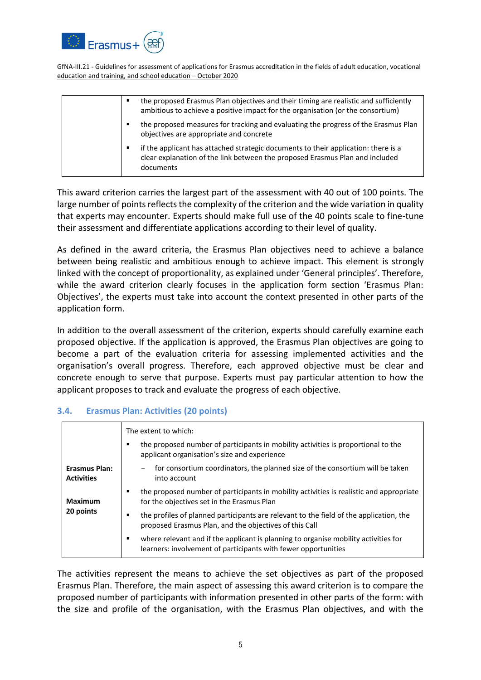

| the proposed Erasmus Plan objectives and their timing are realistic and sufficiently<br>ambitious to achieve a positive impact for the organisation (or the consortium)              |
|--------------------------------------------------------------------------------------------------------------------------------------------------------------------------------------|
| the proposed measures for tracking and evaluating the progress of the Erasmus Plan<br>٠<br>objectives are appropriate and concrete                                                   |
| if the applicant has attached strategic documents to their application: there is a<br>٠<br>clear explanation of the link between the proposed Erasmus Plan and included<br>documents |

This award criterion carries the largest part of the assessment with 40 out of 100 points. The large number of points reflects the complexity of the criterion and the wide variation in quality that experts may encounter. Experts should make full use of the 40 points scale to fine-tune their assessment and differentiate applications according to their level of quality.

As defined in the award criteria, the Erasmus Plan objectives need to achieve a balance between being realistic and ambitious enough to achieve impact. This element is strongly linked with the concept of proportionality, as explained under 'General principles'. Therefore, while the award criterion clearly focuses in the application form section 'Erasmus Plan: Objectives', the experts must take into account the context presented in other parts of the application form.

In addition to the overall assessment of the criterion, experts should carefully examine each proposed objective. If the application is approved, the Erasmus Plan objectives are going to become a part of the evaluation criteria for assessing implemented activities and the organisation's overall progress. Therefore, each approved objective must be clear and concrete enough to serve that purpose. Experts must pay particular attention to how the applicant proposes to track and evaluate the progress of each objective.

#### **3.4. Erasmus Plan: Activities (20 points)**

|                                           | The extent to which:                                                                                                                                  |
|-------------------------------------------|-------------------------------------------------------------------------------------------------------------------------------------------------------|
|                                           | the proposed number of participants in mobility activities is proportional to the<br>٠<br>applicant organisation's size and experience                |
| <b>Erasmus Plan:</b><br><b>Activities</b> | for consortium coordinators, the planned size of the consortium will be taken<br>into account                                                         |
| <b>Maximum</b><br>20 points               | the proposed number of participants in mobility activities is realistic and appropriate<br>for the objectives set in the Erasmus Plan                 |
|                                           | the profiles of planned participants are relevant to the field of the application, the<br>proposed Erasmus Plan, and the objectives of this Call      |
|                                           | where relevant and if the applicant is planning to organise mobility activities for<br>learners: involvement of participants with fewer opportunities |

The activities represent the means to achieve the set objectives as part of the proposed Erasmus Plan. Therefore, the main aspect of assessing this award criterion is to compare the proposed number of participants with information presented in other parts of the form: with the size and profile of the organisation, with the Erasmus Plan objectives, and with the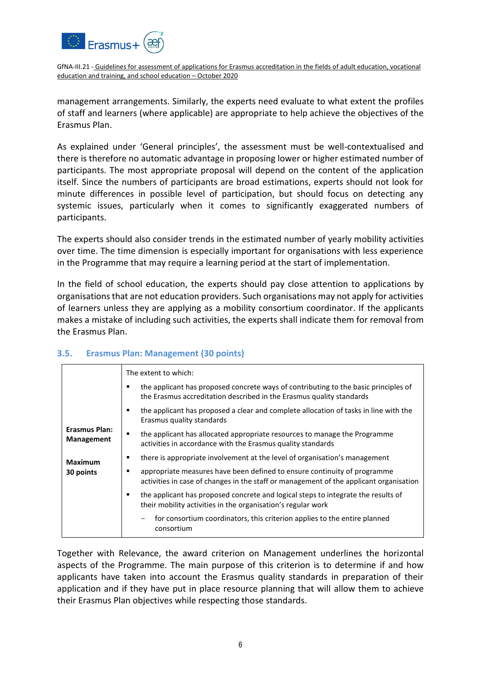

management arrangements. Similarly, the experts need evaluate to what extent the profiles of staff and learners (where applicable) are appropriate to help achieve the objectives of the Erasmus Plan.

As explained under 'General principles', the assessment must be well-contextualised and there is therefore no automatic advantage in proposing lower or higher estimated number of participants. The most appropriate proposal will depend on the content of the application itself. Since the numbers of participants are broad estimations, experts should not look for minute differences in possible level of participation, but should focus on detecting any systemic issues, particularly when it comes to significantly exaggerated numbers of participants.

The experts should also consider trends in the estimated number of yearly mobility activities over time. The time dimension is especially important for organisations with less experience in the Programme that may require a learning period at the start of implementation.

In the field of school education, the experts should pay close attention to applications by organisations that are not education providers. Such organisations may not apply for activities of learners unless they are applying as a mobility consortium coordinator. If the applicants makes a mistake of including such activities, the experts shall indicate them for removal from the Erasmus Plan.

|                                                                   | The extent to which:                                                                                                                                                    |  |  |  |
|-------------------------------------------------------------------|-------------------------------------------------------------------------------------------------------------------------------------------------------------------------|--|--|--|
|                                                                   | the applicant has proposed concrete ways of contributing to the basic principles of<br>п<br>the Erasmus accreditation described in the Erasmus quality standards        |  |  |  |
| <b>Erasmus Plan:</b><br>Management<br><b>Maximum</b><br>30 points | the applicant has proposed a clear and complete allocation of tasks in line with the<br>Erasmus quality standards                                                       |  |  |  |
|                                                                   | the applicant has allocated appropriate resources to manage the Programme<br>٠<br>activities in accordance with the Erasmus quality standards                           |  |  |  |
|                                                                   | there is appropriate involvement at the level of organisation's management                                                                                              |  |  |  |
|                                                                   | appropriate measures have been defined to ensure continuity of programme<br>п<br>activities in case of changes in the staff or management of the applicant organisation |  |  |  |
|                                                                   | the applicant has proposed concrete and logical steps to integrate the results of<br>٠<br>their mobility activities in the organisation's regular work                  |  |  |  |
|                                                                   | for consortium coordinators, this criterion applies to the entire planned<br>consortium                                                                                 |  |  |  |

## **3.5. Erasmus Plan: Management (30 points)**

Together with Relevance, the award criterion on Management underlines the horizontal aspects of the Programme. The main purpose of this criterion is to determine if and how applicants have taken into account the Erasmus quality standards in preparation of their application and if they have put in place resource planning that will allow them to achieve their Erasmus Plan objectives while respecting those standards.